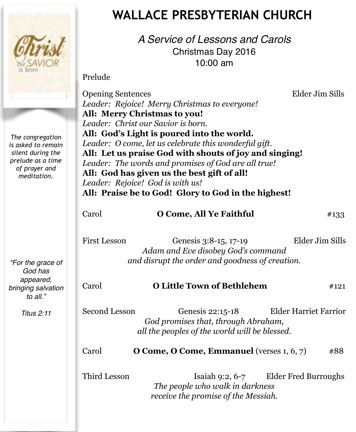

# **WALLACE PRESBYTERIAN CHURCH**

*A Service of Lessons and Carols* Christmas Day 2016 10:00 am

Prelude

Opening Sentences Elder Jim Sills *Leader: Rejoice! Merry Christmas to everyone!* **All: Merry Christmas to you!** *Leader: Christ our Savior is born.* **All: God's Light is poured into the world.** *Leader: O come, let us celebrate this wonderful gift.* **All: Let us praise God with shouts of joy and singing!**  *Leader: The words and promises of God are all true!* **All: God has given us the best gift of all!** *Leader: Rejoice! God is with us!* **All: Praise be to God! Glory to God in the highest!** Carol **O Come, All Ye Faithful**  $\#133$ 

First Lesson Genesis 3:8-15, 17-19 Elder Jim Sills *Adam and Eve disobey God's command and disrupt the order and goodness of creation.* 

# Carol **O Little Town of Bethlehem** #121

Second Lesson Genesis 22:15-18 Elder Harriet Farrior *God promises that, through Abraham, all the peoples of the world will be blessed.* 

Carol **O Come, O Come, Emmanuel** (verses 1, 6, 7) #88

Third Lesson Isaiah 9:2, 6-7 Elder Fred Burroughs *The people who walk in darkness receive the promise of the Messiah.*

*The congregation is asked to remain silent during the prelude as a time of prayer and meditation.*

*"For the grace of God has appeared, bringing salvation to all."*

*Titus 2:11*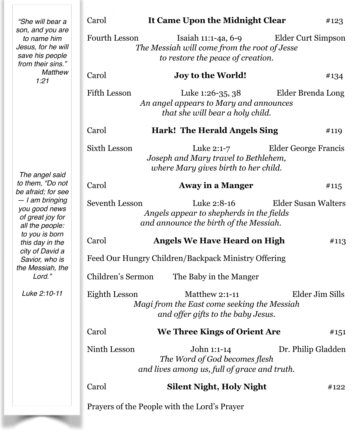| "She will bear a<br>son, and you are<br>to name him<br>Jesus, for he will<br>save his people<br>from their sins."<br><b>Matthew</b><br>1:21<br>The angel said<br>to them, "Do not<br>be afraid; for see<br>- I am bringing<br>you good news<br>of great joy for<br>all the people:<br>to you is born<br>this day in the<br>city of David a<br>Savior, who is<br>the Messiah, the<br>Lord."<br>Luke 2:10-11 | Carol                                                                                                                                                  | It Came Upon the Midnight Clear                                                              | #123               |
|------------------------------------------------------------------------------------------------------------------------------------------------------------------------------------------------------------------------------------------------------------------------------------------------------------------------------------------------------------------------------------------------------------|--------------------------------------------------------------------------------------------------------------------------------------------------------|----------------------------------------------------------------------------------------------|--------------------|
|                                                                                                                                                                                                                                                                                                                                                                                                            | <b>Fourth Lesson</b><br>Isaiah 11:1-4a, 6-9<br>Elder Curt Simpson<br>The Messiah will come from the root of Jesse<br>to restore the peace of creation. |                                                                                              |                    |
|                                                                                                                                                                                                                                                                                                                                                                                                            | Carol                                                                                                                                                  | <b>Joy to the World!</b>                                                                     | #134               |
|                                                                                                                                                                                                                                                                                                                                                                                                            | <b>Fifth Lesson</b><br>Elder Brenda Long<br>Luke 1:26-35, 38<br>An angel appears to Mary and announces<br>that she will bear a holy child.             |                                                                                              |                    |
|                                                                                                                                                                                                                                                                                                                                                                                                            | Carol                                                                                                                                                  | <b>Hark! The Herald Angels Sing</b>                                                          | #119               |
|                                                                                                                                                                                                                                                                                                                                                                                                            | <b>Sixth Lesson</b><br>Luke 2:1-7<br>Elder George Francis<br>Joseph and Mary travel to Bethlehem,<br>where Mary gives birth to her child.              |                                                                                              |                    |
|                                                                                                                                                                                                                                                                                                                                                                                                            | Carol                                                                                                                                                  | <b>Away in a Manger</b>                                                                      | #115               |
|                                                                                                                                                                                                                                                                                                                                                                                                            | Seventh Lesson<br>Luke 2:8-16<br><b>Elder Susan Walters</b><br>Angels appear to shepherds in the fields<br>and announce the birth of the Messiah.      |                                                                                              |                    |
|                                                                                                                                                                                                                                                                                                                                                                                                            | Carol                                                                                                                                                  | <b>Angels We Have Heard on High</b>                                                          | #113               |
|                                                                                                                                                                                                                                                                                                                                                                                                            | Feed Our Hungry Children/Backpack Ministry Offering                                                                                                    |                                                                                              |                    |
|                                                                                                                                                                                                                                                                                                                                                                                                            | Children's Sermon                                                                                                                                      | The Baby in the Manger                                                                       |                    |
|                                                                                                                                                                                                                                                                                                                                                                                                            | Elder Jim Sills<br>Eighth Lesson<br>Matthew 2:1-11<br>Magi from the East come seeking the Messiah<br>and offer gifts to the baby Jesus.                |                                                                                              |                    |
|                                                                                                                                                                                                                                                                                                                                                                                                            | Carol                                                                                                                                                  | We Three Kings of Orient Are                                                                 | #151               |
|                                                                                                                                                                                                                                                                                                                                                                                                            | Ninth Lesson                                                                                                                                           | John 1:1-14<br>The Word of God becomes flesh<br>and lives among us, full of grace and truth. | Dr. Philip Gladden |
|                                                                                                                                                                                                                                                                                                                                                                                                            | Carol                                                                                                                                                  | <b>Silent Night, Holy Night</b>                                                              | #122               |
|                                                                                                                                                                                                                                                                                                                                                                                                            | Prayers of the People with the Lord's Prayer                                                                                                           |                                                                                              |                    |

T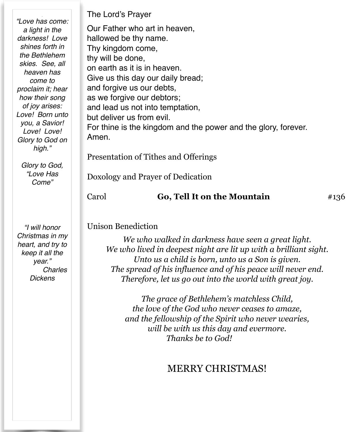*"Love has come: a light in the darkness! Love shines forth in the Bethlehem skies. See, all heaven has come to proclaim it; hear how their song of joy arises: Love! Born unto you, a Savior! Love! Love! Glory to God on high."*

*Glory to God, "Love Has Come"*

*"I will honor Christmas in my heart, and try to keep it all the year." Charles Dickens*

The Lord's Prayer

Our Father who art in heaven, hallowed be thy name. Thy kingdom come, thy will be done, on earth as it is in heaven. Give us this day our daily bread; and forgive us our debts, as we forgive our debtors; and lead us not into temptation, but deliver us from evil. For thine is the kingdom and the power and the glory, forever. Amen. Presentation of Tithes and Offerings

Doxology and Prayer of Dedication

## Carol **Go, Tell It on the Mountain**  $\#136$

#### Unison Benediction

*We who walked in darkness have seen a great light. We who lived in deepest night are lit up with a brilliant sight. Unto us a child is born, unto us a Son is given. The spread of his influence and of his peace will never end. Therefore, let us go out into the world with great joy.* 

*The grace of Bethlehem's matchless Child, the love of the God who never ceases to amaze, and the fellowship of the Spirit who never wearies, will be with us this day and evermore. Thanks be to God!* 

# MERRY CHRISTMAS!